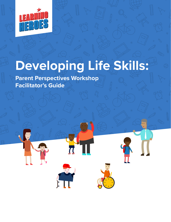

# **Developing Life Skills:**

**Parent Perspectives Workshop Facilitator's Guide**

 $\mathbf{F}$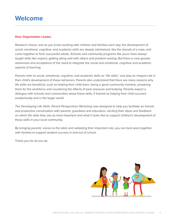## **Welcome**

#### **Dear Organization Leader,**

Research shows, and as you know working with children and families each day, the development of social, emotional, cognitive, and academic skills are deeply intertwined, like the strands of a rope, and come together to form successful adults. Schools and community programs like yours have always taught skills like respect, getting along well with others and problem-solving. But there is now greater awareness and acceptance of the need to integrate the social and emotional, cognitive and academic aspects of learning.

Parents refer to social, emotional, cognitive, and academic skills as "life skills," and play an integral role in their child's development of these behaviors. Parents also understand that there are many reasons why life skills are beneficial, such as helping their child learn, being a good community member, preparing them for the workforce and countering the effects of peer pressure and bullying. Parents expect a dialogue with schools and communities about these skills, if framed as helping their child succeed academically and in the larger world.

*The Developing Life Skills: Parent Perspectives Workshop* was designed to help you facilitate an honest and productive conversation with parents, guardians and educators, eliciting their ideas and feedback on which life skills they see as most important and what it looks like to support children's development of these skills in your local community.

By bringing parents' voices to the table and validating their important role, you can best work together with families to support student success in and out of school.

Thank you for all you do.

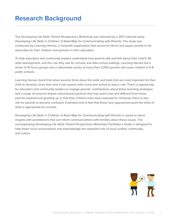# **Research Background**

The Developing Life Skills: Parent Perspectives Workshop was informed by a 2017 national study, *Developing Life Skills in Children: A Road Map for Communicating with Parents. The study was* conducted by Learning Heroes, a nonprofit organization that serves to inform and equip parents to be advocates for their children and partners in their education.

To help educators and community leaders understand how parents talk and feel about their child's life skills development, and the role they see for schools and after-school settings, Learning Heroes led a series of 10 focus groups and a nationwide survey of more than 2,000 parents who have children in K-8 public schools.

Learning Heroes found that when parents think about the skills and traits that are most important for their child to develop, more than nine in ten expect both home and school to play a role. There is opportunity for educators and community leaders to engage parents' contributions about these teaching strategies and a range of research-based instructional practices that may seem new and different from those parents experienced growing up or that their children have been exposed to. However, there is also risk for parents to become confused, frustrated and to feel that these new approaches push the limits of what is appropriate for schools.

Developing Life Skills in Children: A Road Map for Communicating with Parents is meant to share insights with practitioners that can inform communications with families about these issues. The accompanying *Developing Life Skills: Parent Perspectives Workshop Facilitator's Guide* is designed to help foster local conversations and acknowledge the important role of local context, community, and culture.

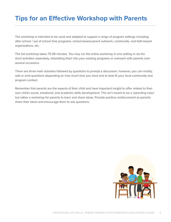# **Tips for an Effective Workshop with Parents**

The workshop is intended to be used and adapted to support a range of program settings including: after-school / out of school time programs, school-based parent outreach, community- and faith-based organizations, etc.

The full workshop takes 75-90 minutes. You may run the entire workshop in one setting or do the short activities separately, imbedding them into your existing programs or outreach with parents over several occasions.

There are three main activities followed by questions to prompt a discussion, however, you can modify, add or omit questions depending on how much time you have and to best fit your local community and program context.

Remember that parents are the experts of their child and have important insight to offer related to their own child's social, emotional, and academic skills development. This isn't meant to be a 'parenting class' but rather a workshop for parents to learn and share ideas. Provide positive reinforcement as parents share their ideas and encourage them to ask questions.

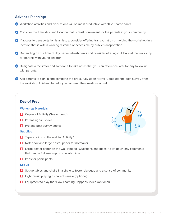## **Advance Planning:**

- Workshop activities and discussions will be most productive with 10-20 participants.
- Consider the time, day, and location that is most convenient for the parents in your community.
- **B** If access to transportation is an issue, consider offering transportation or holding the workshop in a location that is within walking distance or accessible by public transportation.
- Depending on the time of day, serve refreshments and consider offering childcare at the workshop for parents with young children.
- Designate a facilitator and someone to take notes that you can reference later for any follow up with parents.
- Ask parents to sign in and complete the pre-survey upon arrival. Complete the post-survey after the workshop finishes. To help, you can read the questions aloud.

#### **Day-of Prep:**

#### **Workshop Materials**

- **☐** Copies of Activity (See appendix)
- **☐** Parent sign-in sheet
- **☐** Pre and post survey copies

#### **Supplies**

- **☐** Tape to stick on the wall for Activity 1
- **☐** Notebook and large poster paper for notetaker
- **☐** Large poster paper on the wall labeled "Questions and Ideas" to jot down any comments that can be followed-up on at a later time
- **☐** Pens for participants

#### **Set-up**

- **☐** Set up tables and chairs in a circle to foster dialogue and a sense of community
- **☐** Light music playing as parents arrive (optional)
- **☐** Equipment to play the 'How Learning Happens' video (optional)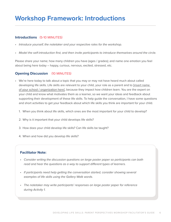#### **Introductions** (5-10 MINUTES)

- *Introduce yourself, the notetaker and your respective roles for the workshop.*
- *Model the self-introduction first, and then invite participants to introduce themselves around the circle.*

Please share your name; how many children you have (ages / grades); and name one emotion you feel about being here today – happy, curious, nervous, excited, stressed, etc.

## **Opening Discussion** (10 MINUTES)

- We're here today to talk about a topic that you may or may not have heard much about called developing life skills. Life skills are relevant to your child, your role as a parent and to [insert name of your school / organization here], because they impact how children learn. You are the expert on your child and know what motivates them as a learner, so we want your ideas and feedback about supporting their development of these life skills. To help guide the conversation, I have some questions and short activities to get your feedback about which life skills you think are important for your child.
	- 1. When you think about life skills, which ones are the most important for your child to develop?
	- 2. Why is it important that your child develops life skills?
	- 3. How does your child develop life skills? Can life skills be taught?
	- 4. When and how did you develop life skills?

#### **Facilitator Note:**

- *Consider writing the discussion questions on large poster paper so participants can both read and hear the questions as a way to support different types of learners.*
- If participants need help getting the conversation started, consider showing several *examples of life skills using the Gallery Walk words.*
- *The notetaker may write participants' responses on large poster paper for reference during Activity 1.*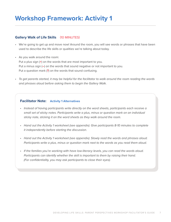## **Workshop Framework: Activity 1**

#### **Gallery Walk of Life Skills** (10 MINUTES)

- We're going to get up and move now! Around the room, you will see words or phrases that have been used to describe the life skills or qualities we're talking about today.
- As you walk around the room: Put a plus sign (**+**) on the words that are most important to you. Put a minus sign (**–**) on the words that sound negative or not important to you. Put a question mark (**?**) on the words that sound confusing.
- *To get parents started, it may be helpful for the facilitator to walk around the room reading the words and phrases aloud before asking them to begin the Gallery Walk.*

#### **Facilitator Note: Activity 1 Alternatives**

- *Instead of having participants write directly on the word sheets, participants each receive a small set of sticky notes. Participants write a plus, minus or question mark on an individual sticky note, sticking it on the word sheets as they walk around the room.*
- *Hand out the Activity 1 worksheet (see appendix). Give participants 8-10 minutes to complete it independently before starting the discussion.*
- *Hand out the Activity 1 worksheet (see appendix). Slowly read the words and phrases aloud. Participants write a plus, minus or question mark next to the words as you read them aloud.*
- *If the families you're working with have low-literacy levels, you can read the words aloud. Participants can identify whether the skill is important to them by raising their hand. (For confidentiality, you may ask participants to close their eyes).*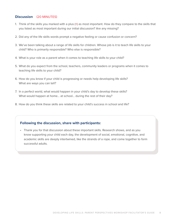#### **Discussion** (20 MINUTES)

- 1. Think of the skills you marked with a plus (**+**) as most important. How do they compare to the skills that you listed as most important during our initial discussion? Are any missing?
- 2. Did any of the life skills words prompt a negative feeling or cause confusion or concern?
- 3. We've been talking about a range of life skills for children. Whose job is it to teach life skills to your child? Who is primarily responsible? Who else is responsible?
- 4. What is your role as a parent when it comes to teaching life skills to your child?
- 5. What do you expect from the school, teachers, community leaders or programs when it comes to teaching life skills to your child?
- 6. How do you know if your child is progressing or needs help developing life skills? What are ways you can tell?
- 7. In a perfect world, what would happen in your child's day to develop these skills? What would happen at home… at school… during the rest of their day?
- 8. How do you think these skills are related to your child's success in school and life?

#### **Following the discussion, share with participants:**

• Thank you for that discussion about these important skills. Research shows, and as you know supporting your child each day, the development of social, emotional, cognitive, and academic skills are deeply intertwined, like the strands of a rope, and come together to form successful adults.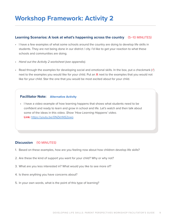#### **Learning Scenarios: A look at what's happening across the country** (5–10 MINUTES)

- I have a few examples of what some schools around the country are doing to develop life skills in students. They are not being done in our district / city. I'd like to get your reaction to what these schools and communities are doing.
- *Hand out the Activity 2 worksheet (see appendix).*
- Read through the examples for developing social and emotional skills. In the box, put a checkmark (**✓**) next to the examples you would like for your child. Put an **X** next to the examples that you would not like for your child. Star the one that you would be most excited about for your child.

### **Facilitator Note: Alternative Activity**

• I have a video example of how learning happens that shows what students need to be confident and ready to learn and grow in school and life. Let's watch and then talk about some of the ideas in this video. *Show 'How Learning Happens' video.* **Link:** <https://youtu.be/0NZkhNS2swo>

## **Discussion** (10 MINUTES)

- 1. Based on these examples, how are you feeling now about how children develop life skills?
- 2. Are these the kind of support you want for your child? Why or why not?
- 3. What are you less interested in? What would you like to see more of?
- 4. Is there anything you have concerns about?
- 5. In your own words, what is the point of this type of learning?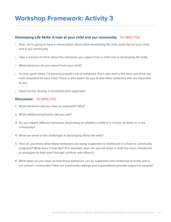#### **Developing Life Skills: A look at your child and our community** (10 MINUTES)

- Next, we're going to have a conversation about what developing life skills looks like for your child and in our community.
- Take a moment to think about the behaviors you expect from a child who is developing life skills.
- What behaviors do you expect from your child?
- To help spark ideas, I'm passing around a list of behaviors. Put a star next to the ones you think are most important for your child. There is also space for you to add other behaviors that are important to you.
- *Hand out the Activity 3 worksheet (see appendix).*

#### **Discussion** (10 MINUTES)

- 1. What behaviors did you mark as important? Why?
- 2. What additional behaviors did you add?
- 3. Do you expect different behaviors depending on whether a child is in school, at home or in the community?
- 4. What are some of the challenges in developing these life skills?
- 5. How do you know when these behaviors are being supported or reinforced in school or community programs? What does it look like? (For example, how can you tell when a child has been introduced to strategies to help work through conflicts with others?)
- 6. What ideas do you have on how these behaviors can be supported and reinforced at home and in our school / community? How can community settings and organizations provide support to parents?